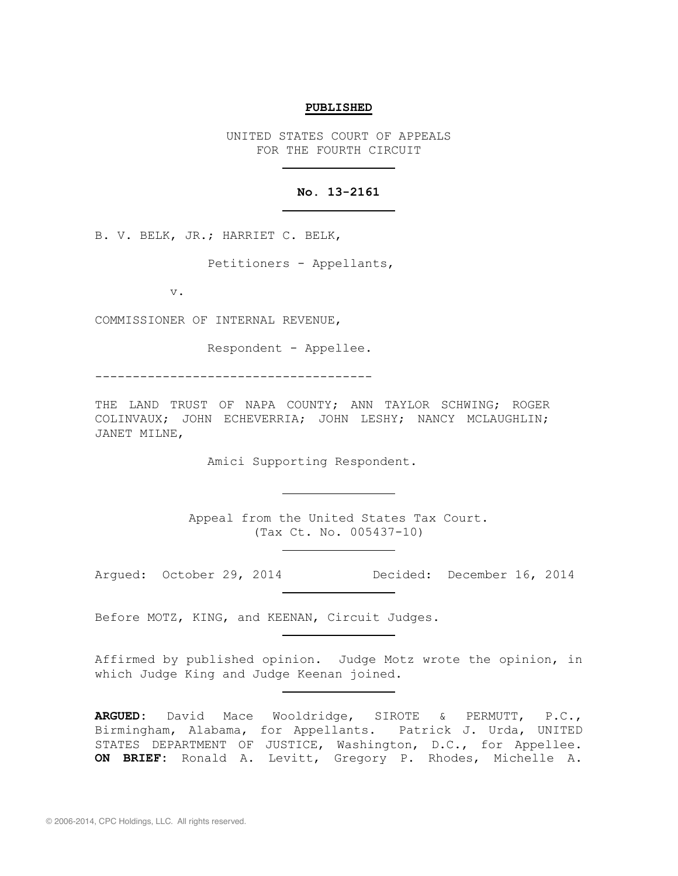#### **PUBLISHED**

UNITED STATES COURT OF APPEALS FOR THE FOURTH CIRCUIT

# **No. 13-2161**

B. V. BELK, JR.; HARRIET C. BELK,

Petitioners - Appellants,

v.

COMMISSIONER OF INTERNAL REVENUE,

Respondent - Appellee.

-------------------------------------

THE LAND TRUST OF NAPA COUNTY; ANN TAYLOR SCHWING; ROGER COLINVAUX; JOHN ECHEVERRIA; JOHN LESHY; NANCY MCLAUGHLIN; JANET MILNE,

Amici Supporting Respondent.

Appeal from the United States Tax Court. (Tax Ct. No. 005437-10)

Argued: October 29, 2014 Decided: December 16, 2014

Before MOTZ, KING, and KEENAN, Circuit Judges.

Affirmed by published opinion. Judge Motz wrote the opinion, in which Judge King and Judge Keenan joined.

**ARGUED:** David Mace Wooldridge, SIROTE & PERMUTT, P.C., Birmingham, Alabama, for Appellants. Patrick J. Urda, UNITED STATES DEPARTMENT OF JUSTICE, Washington, D.C., for Appellee. **ON BRIEF:** Ronald A. Levitt, Gregory P. Rhodes, Michelle A.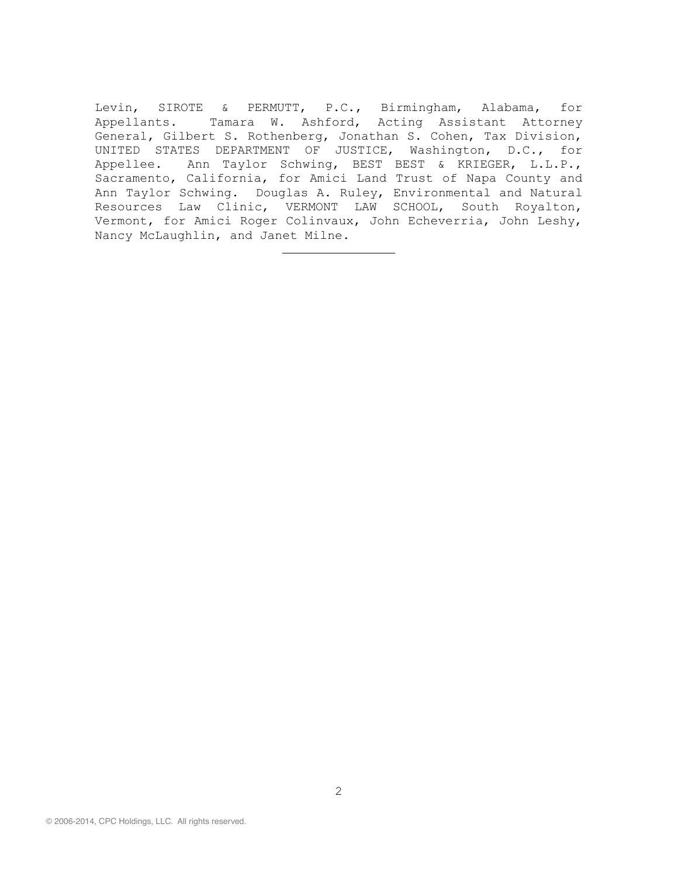Levin, SIROTE & PERMUTT, P.C., Birmingham, Alabama, for Appellants. Tamara W. Ashford, Acting Assistant Attorney General, Gilbert S. Rothenberg, Jonathan S. Cohen, Tax Division, UNITED STATES DEPARTMENT OF JUSTICE, Washington, D.C., for Appellee. Ann Taylor Schwing, BEST BEST & KRIEGER, L.L.P., Sacramento, California, for Amici Land Trust of Napa County and Ann Taylor Schwing. Douglas A. Ruley, Environmental and Natural Resources Law Clinic, VERMONT LAW SCHOOL, South Royalton, Vermont, for Amici Roger Colinvaux, John Echeverria, John Leshy, Nancy McLaughlin, and Janet Milne.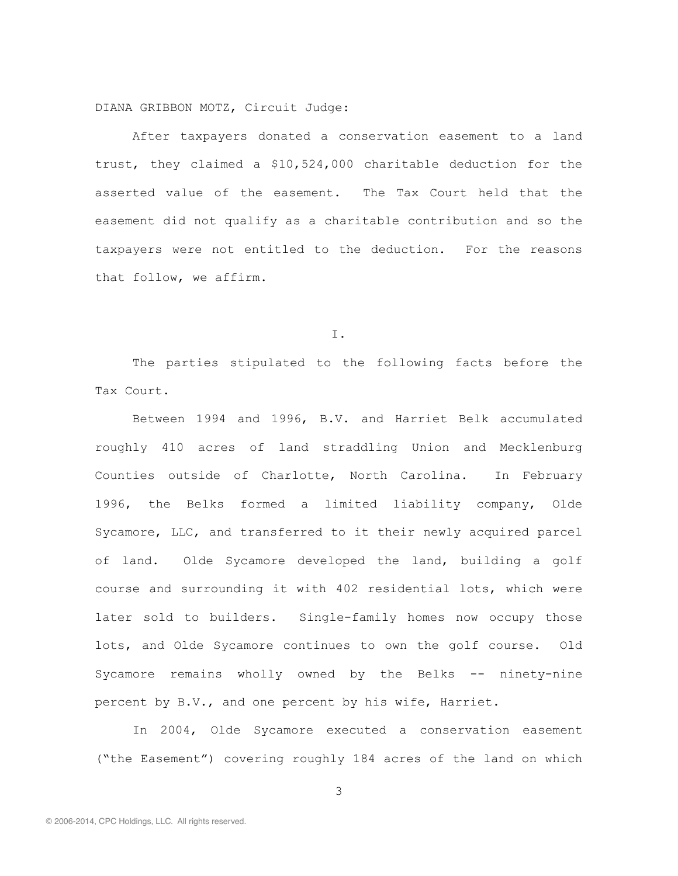DIANA GRIBBON MOTZ, Circuit Judge:

After taxpayers donated a conservation easement to a land trust, they claimed a \$10,524,000 charitable deduction for the asserted value of the easement. The Tax Court held that the easement did not qualify as a charitable contribution and so the taxpayers were not entitled to the deduction. For the reasons that follow, we affirm.

I.

The parties stipulated to the following facts before the Tax Court.

Between 1994 and 1996, B.V. and Harriet Belk accumulated roughly 410 acres of land straddling Union and Mecklenburg Counties outside of Charlotte, North Carolina. In February 1996, the Belks formed a limited liability company, Olde Sycamore, LLC, and transferred to it their newly acquired parcel of land. Olde Sycamore developed the land, building a golf course and surrounding it with 402 residential lots, which were later sold to builders. Single-family homes now occupy those lots, and Olde Sycamore continues to own the golf course. Old Sycamore remains wholly owned by the Belks -- ninety-nine percent by B.V., and one percent by his wife, Harriet.

In 2004, Olde Sycamore executed a conservation easement ("the Easement") covering roughly 184 acres of the land on which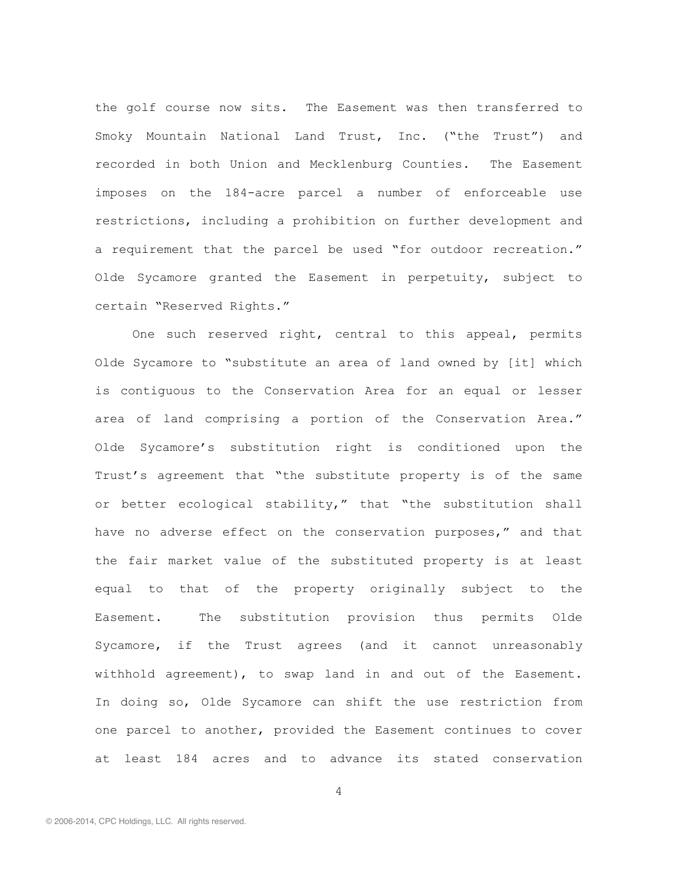the golf course now sits. The Easement was then transferred to Smoky Mountain National Land Trust, Inc. ("the Trust") and recorded in both Union and Mecklenburg Counties. The Easement imposes on the 184-acre parcel a number of enforceable use restrictions, including a prohibition on further development and a requirement that the parcel be used "for outdoor recreation." Olde Sycamore granted the Easement in perpetuity, subject to certain "Reserved Rights."

One such reserved right, central to this appeal, permits Olde Sycamore to "substitute an area of land owned by [it] which is contiguous to the Conservation Area for an equal or lesser area of land comprising a portion of the Conservation Area." Olde Sycamore's substitution right is conditioned upon the Trust's agreement that "the substitute property is of the same or better ecological stability," that "the substitution shall have no adverse effect on the conservation purposes," and that the fair market value of the substituted property is at least equal to that of the property originally subject to the Easement. The substitution provision thus permits Olde Sycamore, if the Trust agrees (and it cannot unreasonably withhold agreement), to swap land in and out of the Easement. In doing so, Olde Sycamore can shift the use restriction from one parcel to another, provided the Easement continues to cover at least 184 acres and to advance its stated conservation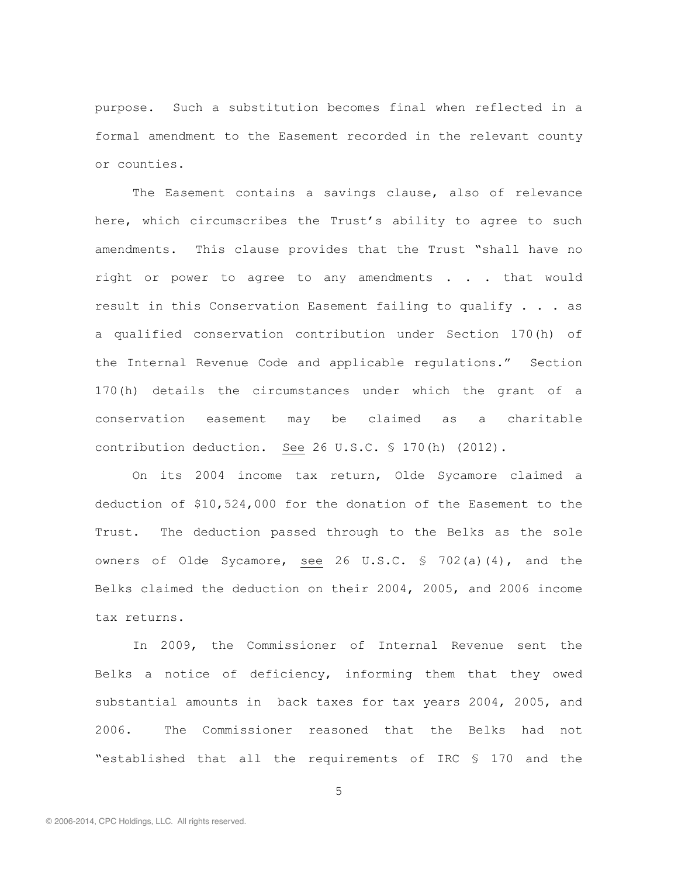purpose. Such a substitution becomes final when reflected in a formal amendment to the Easement recorded in the relevant county or counties.

The Easement contains a savings clause, also of relevance here, which circumscribes the Trust's ability to agree to such amendments. This clause provides that the Trust "shall have no right or power to agree to any amendments . . . that would result in this Conservation Easement failing to qualify . . . as a qualified conservation contribution under Section 170(h) of the Internal Revenue Code and applicable regulations." Section 170(h) details the circumstances under which the grant of a conservation easement may be claimed as a charitable contribution deduction. See 26 U.S.C. § 170(h) (2012).

On its 2004 income tax return, Olde Sycamore claimed a deduction of \$10,524,000 for the donation of the Easement to the Trust. The deduction passed through to the Belks as the sole owners of Olde Sycamore, see 26 U.S.C. § 702(a)(4), and the Belks claimed the deduction on their 2004, 2005, and 2006 income tax returns.

In 2009, the Commissioner of Internal Revenue sent the Belks a notice of deficiency, informing them that they owed substantial amounts in back taxes for tax years 2004, 2005, and 2006. The Commissioner reasoned that the Belks had not "established that all the requirements of IRC § 170 and the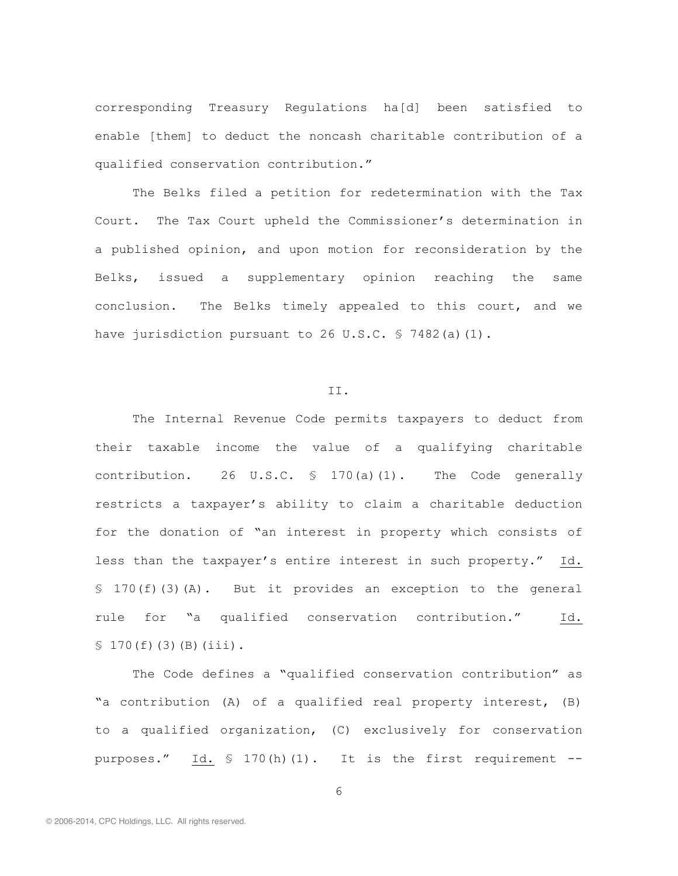corresponding Treasury Regulations ha[d] been satisfied to enable [them] to deduct the noncash charitable contribution of a qualified conservation contribution."

The Belks filed a petition for redetermination with the Tax Court. The Tax Court upheld the Commissioner's determination in a published opinion, and upon motion for reconsideration by the Belks, issued a supplementary opinion reaching the same conclusion. The Belks timely appealed to this court, and we have jurisdiction pursuant to 26 U.S.C. § 7482(a)(1).

## II.

The Internal Revenue Code permits taxpayers to deduct from their taxable income the value of a qualifying charitable contribution. 26 U.S.C.  $\frac{170}{a}$  (1). The Code generally restricts a taxpayer's ability to claim a charitable deduction for the donation of "an interest in property which consists of less than the taxpayer's entire interest in such property." Id. § 170(f)(3)(A). But it provides an exception to the general rule for "a qualified conservation contribution." Id.  $$170(f)(3)(B)(iii).$ 

The Code defines a "qualified conservation contribution" as "a contribution (A) of a qualified real property interest, (B) to a qualified organization, (C) exclusively for conservation purposes." Id. § 170(h)(1). It is the first requirement --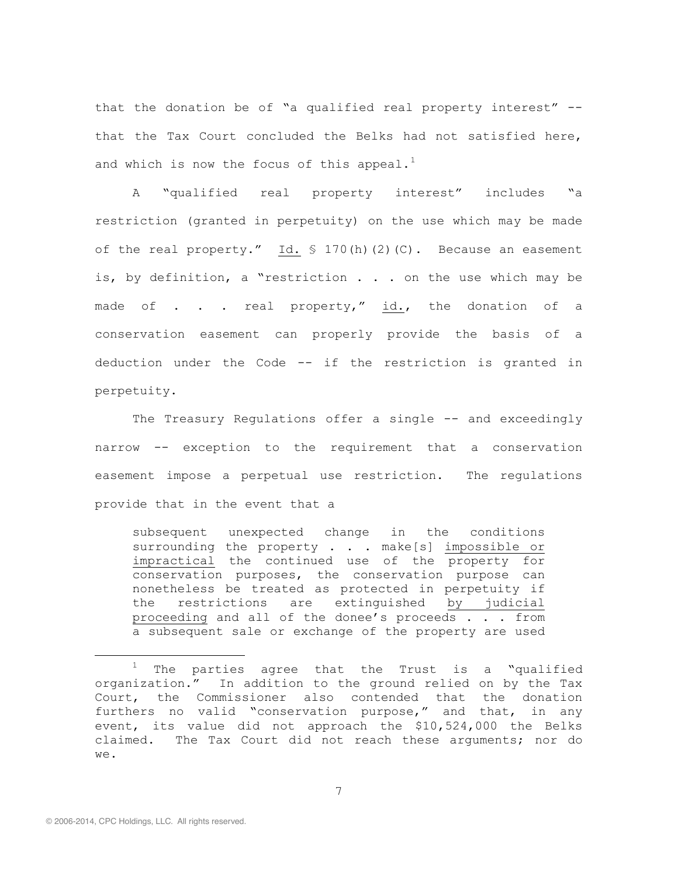that the donation be of "a qualified real property interest" - that the Tax Court concluded the Belks had not satisfied here, and which is now the focus of this appeal.<sup>1</sup>

A "qualified real property interest" includes "a restriction (granted in perpetuity) on the use which may be made of the real property." Id. § 170(h)(2)(C). Because an easement is, by definition, a "restriction . . . on the use which may be made of . . . real property," id., the donation of a conservation easement can properly provide the basis of a deduction under the Code -- if the restriction is granted in perpetuity.

The Treasury Regulations offer a single -- and exceedingly narrow -- exception to the requirement that a conservation easement impose a perpetual use restriction. The regulations provide that in the event that a

subsequent unexpected change in the conditions surrounding the property . . . make[s] impossible or impractical the continued use of the property for conservation purposes, the conservation purpose can nonetheless be treated as protected in perpetuity if the restrictions are extinguished by judicial proceeding and all of the donee's proceeds . . . from a subsequent sale or exchange of the property are used

 $1$  The parties agree that the Trust is a "qualified organization." In addition to the ground relied on by the Tax Court, the Commissioner also contended that the donation furthers no valid "conservation purpose," and that, in any event, its value did not approach the \$10,524,000 the Belks claimed. The Tax Court did not reach these arguments; nor do we.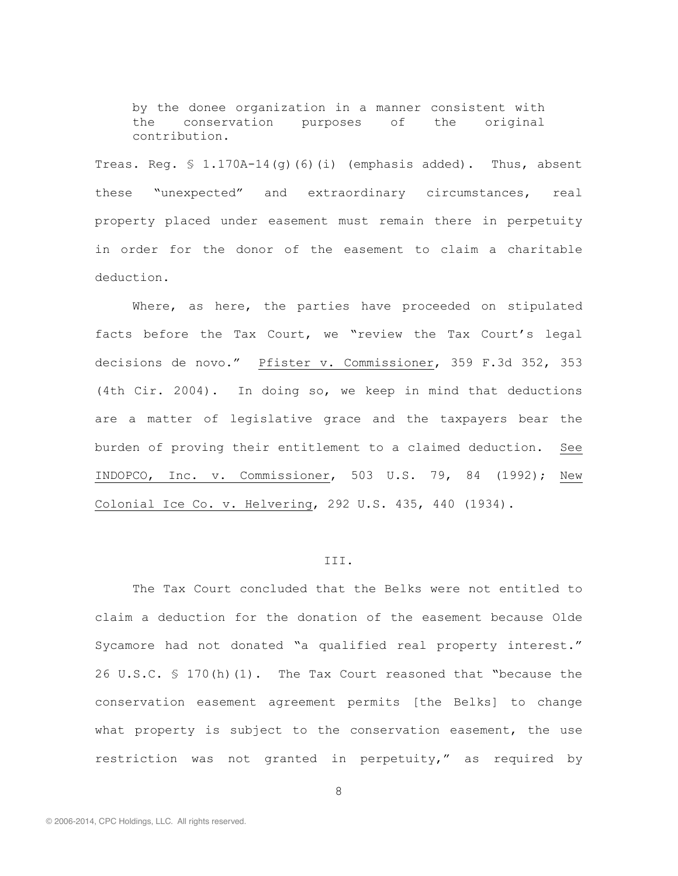by the donee organization in a manner consistent with the conservation purposes of the original contribution.

Treas. Reg. § 1.170A-14(g)(6)(i) (emphasis added). Thus, absent these "unexpected" and extraordinary circumstances, real property placed under easement must remain there in perpetuity in order for the donor of the easement to claim a charitable deduction.

Where, as here, the parties have proceeded on stipulated facts before the Tax Court, we "review the Tax Court's legal decisions de novo." Pfister v. Commissioner, 359 F.3d 352, 353 (4th Cir. 2004). In doing so, we keep in mind that deductions are a matter of legislative grace and the taxpayers bear the burden of proving their entitlement to a claimed deduction. See INDOPCO, Inc. v. Commissioner, 503 U.S. 79, 84 (1992); New Colonial Ice Co. v. Helvering, 292 U.S. 435, 440 (1934).

## III.

The Tax Court concluded that the Belks were not entitled to claim a deduction for the donation of the easement because Olde Sycamore had not donated "a qualified real property interest." 26 U.S.C. § 170(h)(1). The Tax Court reasoned that "because the conservation easement agreement permits [the Belks] to change what property is subject to the conservation easement, the use restriction was not granted in perpetuity," as required by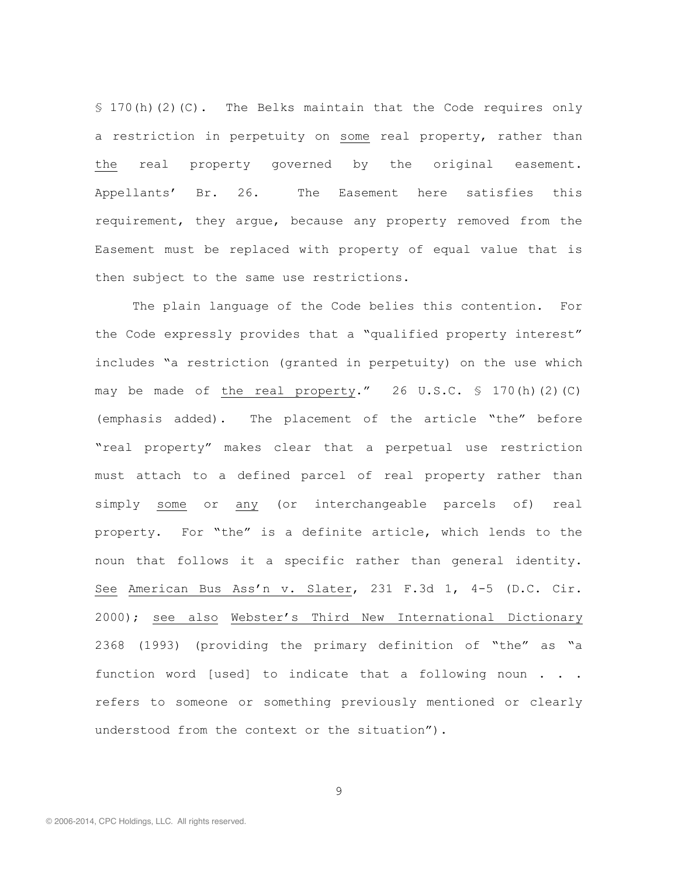§ 170(h)(2)(C). The Belks maintain that the Code requires only a restriction in perpetuity on some real property, rather than the real property governed by the original easement. Appellants' Br. 26. The Easement here satisfies this requirement, they argue, because any property removed from the Easement must be replaced with property of equal value that is then subject to the same use restrictions.

The plain language of the Code belies this contention. For the Code expressly provides that a "qualified property interest" includes "a restriction (granted in perpetuity) on the use which may be made of the real property." 26 U.S.C. § 170(h)(2)(C) (emphasis added). The placement of the article "the" before "real property" makes clear that a perpetual use restriction must attach to a defined parcel of real property rather than simply some or any (or interchangeable parcels of) real property. For "the" is a definite article, which lends to the noun that follows it a specific rather than general identity. See American Bus Ass'n v. Slater, 231 F.3d 1, 4-5 (D.C. Cir. 2000); see also Webster's Third New International Dictionary 2368 (1993) (providing the primary definition of "the" as "a function word [used] to indicate that a following noun . . . refers to someone or something previously mentioned or clearly understood from the context or the situation").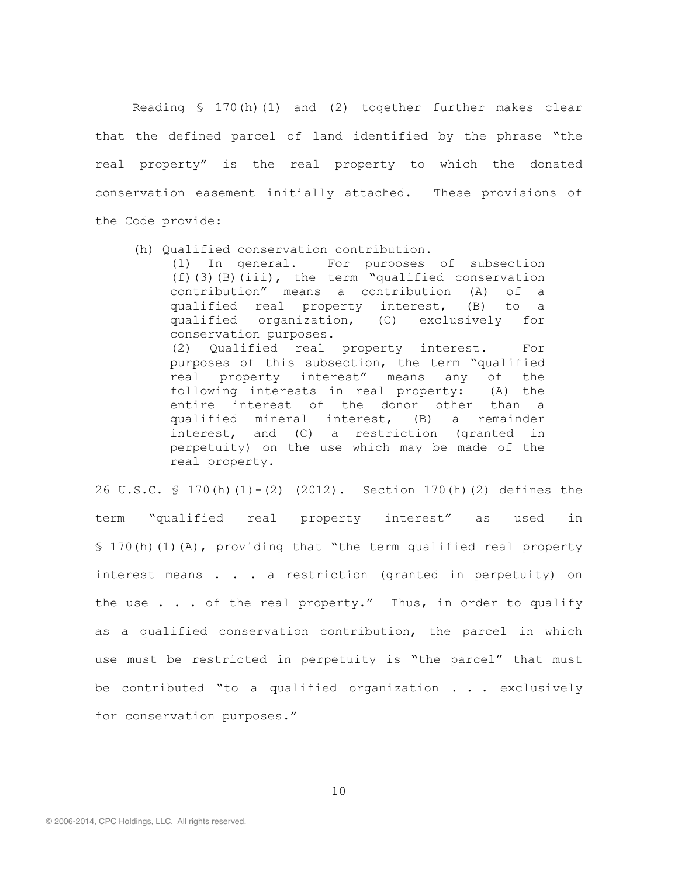Reading § 170(h)(1) and (2) together further makes clear that the defined parcel of land identified by the phrase "the real property" is the real property to which the donated conservation easement initially attached. These provisions of the Code provide:

(h) Qualified conservation contribution.

(1) In general. For purposes of subsection (f)(3)(B)(iii), the term "qualified conservation contribution" means a contribution (A) of a qualified real property interest, (B) to a qualified organization, (C) exclusively for conservation purposes.

(2) Qualified real property interest. For purposes of this subsection, the term "qualified real property interest" means any of the following interests in real property: (A) the entire interest of the donor other than a qualified mineral interest, (B) a remainder interest, and (C) a restriction (granted in perpetuity) on the use which may be made of the real property.

26 U.S.C. § 170(h)(1)-(2) (2012). Section 170(h)(2) defines the term "qualified real property interest" as used in § 170(h)(1)(A), providing that "the term qualified real property interest means . . . a restriction (granted in perpetuity) on the use  $\ldots$  of the real property." Thus, in order to qualify as a qualified conservation contribution, the parcel in which use must be restricted in perpetuity is "the parcel" that must be contributed "to a qualified organization . . . exclusively for conservation purposes."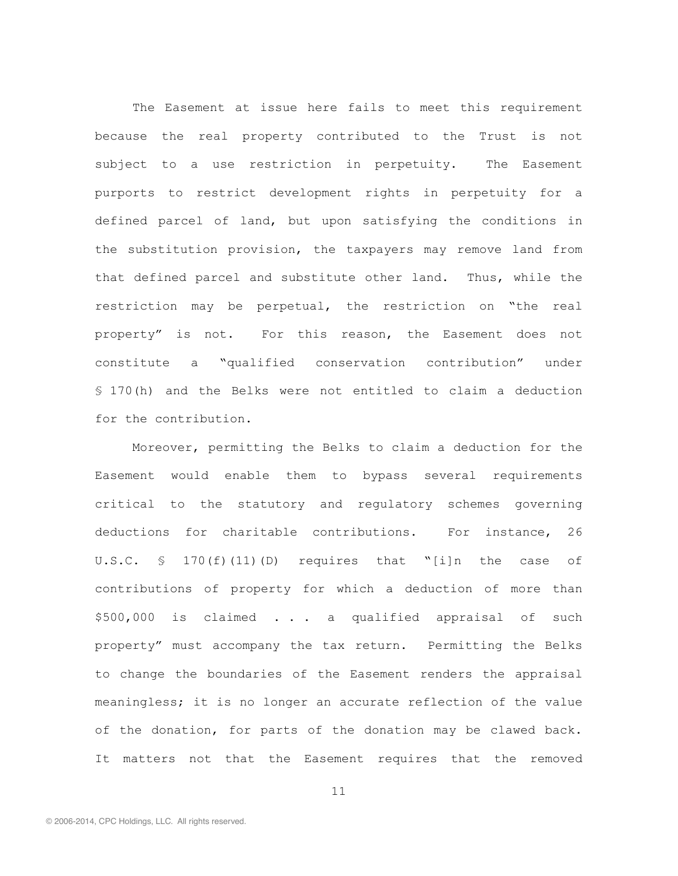The Easement at issue here fails to meet this requirement because the real property contributed to the Trust is not subject to a use restriction in perpetuity. The Easement purports to restrict development rights in perpetuity for a defined parcel of land, but upon satisfying the conditions in the substitution provision, the taxpayers may remove land from that defined parcel and substitute other land. Thus, while the restriction may be perpetual, the restriction on "the real property" is not. For this reason, the Easement does not constitute a "qualified conservation contribution" under § 170(h) and the Belks were not entitled to claim a deduction for the contribution.

Moreover, permitting the Belks to claim a deduction for the Easement would enable them to bypass several requirements critical to the statutory and regulatory schemes governing deductions for charitable contributions. For instance, 26 U.S.C.  $\text{S}$  170(f)(11)(D) requires that "[i]n the case of contributions of property for which a deduction of more than \$500,000 is claimed . . . a qualified appraisal of such property" must accompany the tax return. Permitting the Belks to change the boundaries of the Easement renders the appraisal meaningless; it is no longer an accurate reflection of the value of the donation, for parts of the donation may be clawed back. It matters not that the Easement requires that the removed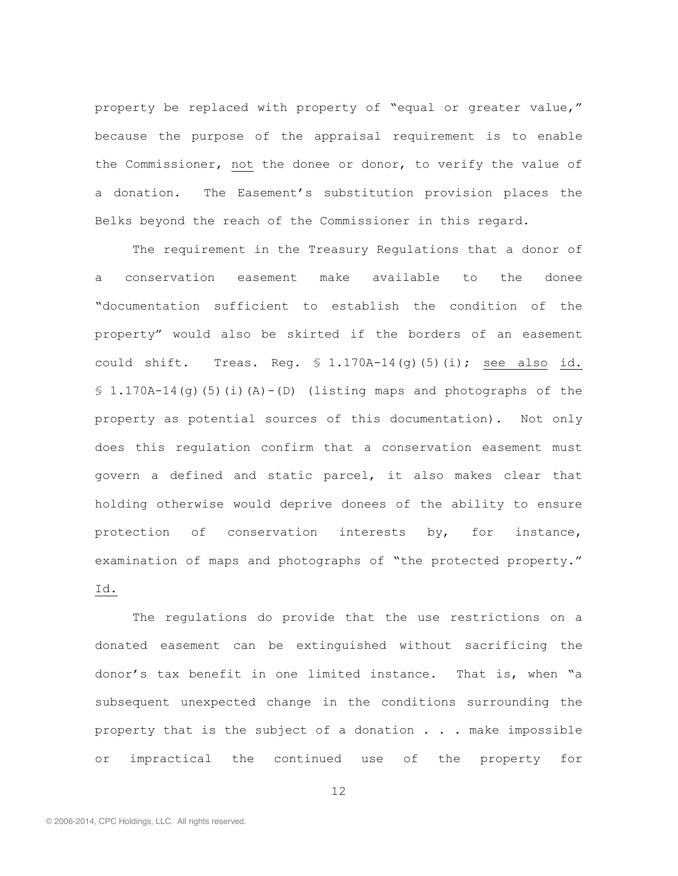property be replaced with property of "equal or greater value," because the purpose of the appraisal requirement is to enable the Commissioner, not the donee or donor, to verify the value of a donation. The Easement's substitution provision places the Belks beyond the reach of the Commissioner in this regard.

The requirement in the Treasury Regulations that a donor of a conservation easement make available to the donee "documentation sufficient to establish the condition of the property" would also be skirted if the borders of an easement could shift. Treas. Req.  $\frac{1.170A-14(q)}{5}$  (5) (i); see also id.  $$1.170A-14(g)(5)(i)(A)-(D)$  (listing maps and photographs of the property as potential sources of this documentation). Not only does this regulation confirm that a conservation easement must govern a defined and static parcel, it also makes clear that holding otherwise would deprive donees of the ability to ensure protection of conservation interests by, for instance, examination of maps and photographs of "the protected property." Id.

The regulations do provide that the use restrictions on a donated easement can be extinguished without sacrificing the donor's tax benefit in one limited instance. That is, when "a subsequent unexpected change in the conditions surrounding the property that is the subject of a donation . . . make impossible or impractical the continued use of the property for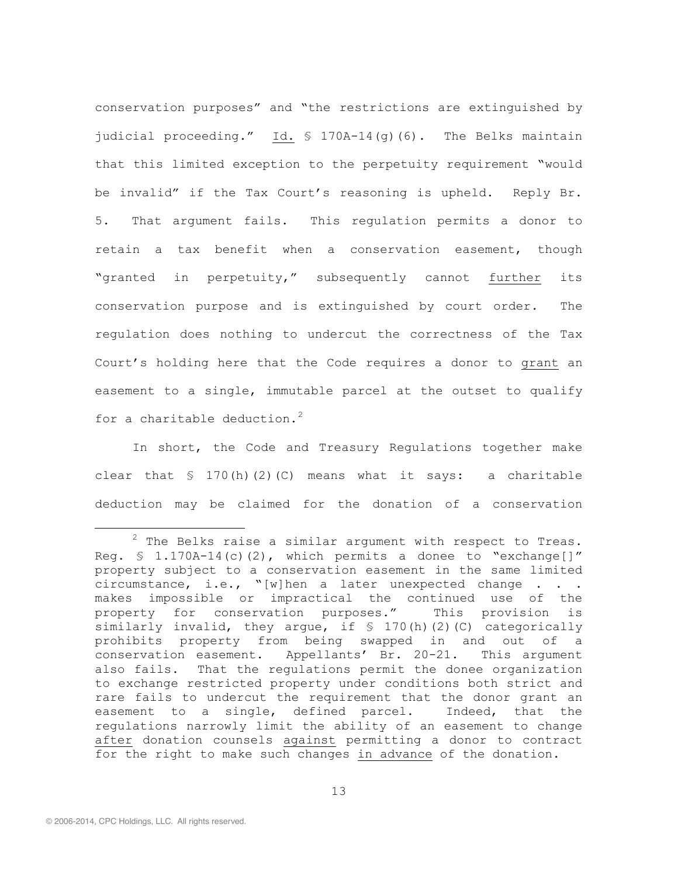conservation purposes" and "the restrictions are extinguished by judicial proceeding." Id. § 170A-14(g)(6). The Belks maintain that this limited exception to the perpetuity requirement "would be invalid" if the Tax Court's reasoning is upheld. Reply Br. 5. That argument fails. This regulation permits a donor to retain a tax benefit when a conservation easement, though "granted in perpetuity," subsequently cannot further its conservation purpose and is extinguished by court order. The regulation does nothing to undercut the correctness of the Tax Court's holding here that the Code requires a donor to grant an easement to a single, immutable parcel at the outset to qualify for a charitable deduction.<sup>2</sup>

In short, the Code and Treasury Regulations together make clear that  $\frac{170(h)(2)(C)}{2}$  means what it says: a charitable deduction may be claimed for the donation of a conservation

 $2$  The Belks raise a similar argument with respect to Treas. Reg. § 1.170A-14(c)(2), which permits a donee to "exchange[]" property subject to a conservation easement in the same limited circumstance, i.e., "[w]hen a later unexpected change . . . makes impossible or impractical the continued use of the property for conservation purposes." This provision is similarly invalid, they argue, if  $\frac{1}{2}$  (c)(c) categorically prohibits property from being swapped in and out of a conservation easement. Appellants' Br. 20-21. This argument also fails. That the regulations permit the donee organization to exchange restricted property under conditions both strict and rare fails to undercut the requirement that the donor grant an easement to a single, defined parcel. Indeed, that the regulations narrowly limit the ability of an easement to change after donation counsels against permitting a donor to contract for the right to make such changes in advance of the donation.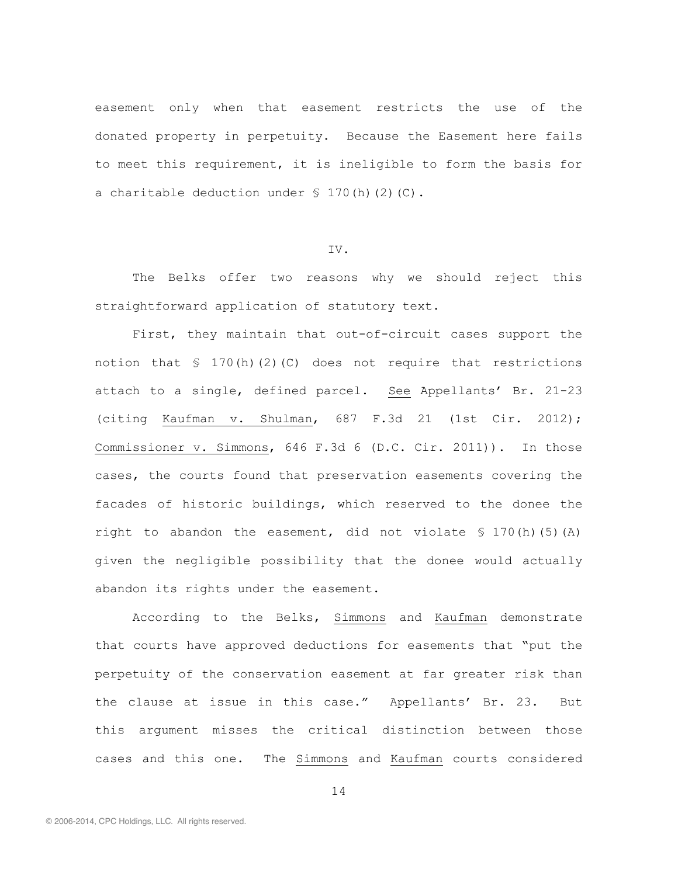easement only when that easement restricts the use of the donated property in perpetuity. Because the Easement here fails to meet this requirement, it is ineligible to form the basis for a charitable deduction under  $\S$  170(h)(2)(C).

#### IV.

The Belks offer two reasons why we should reject this straightforward application of statutory text.

First, they maintain that out-of-circuit cases support the notion that  $\leq 170(h)(2)(C)$  does not require that restrictions attach to a single, defined parcel. See Appellants' Br. 21-23 (citing Kaufman v. Shulman, 687 F.3d 21 (1st Cir. 2012); Commissioner v. Simmons, 646 F.3d 6 (D.C. Cir. 2011)). In those cases, the courts found that preservation easements covering the facades of historic buildings, which reserved to the donee the right to abandon the easement, did not violate  $\frac{1}{5}$  170(h)(5)(A) given the negligible possibility that the donee would actually abandon its rights under the easement.

According to the Belks, Simmons and Kaufman demonstrate that courts have approved deductions for easements that "put the perpetuity of the conservation easement at far greater risk than the clause at issue in this case." Appellants' Br. 23. But this argument misses the critical distinction between those cases and this one. The Simmons and Kaufman courts considered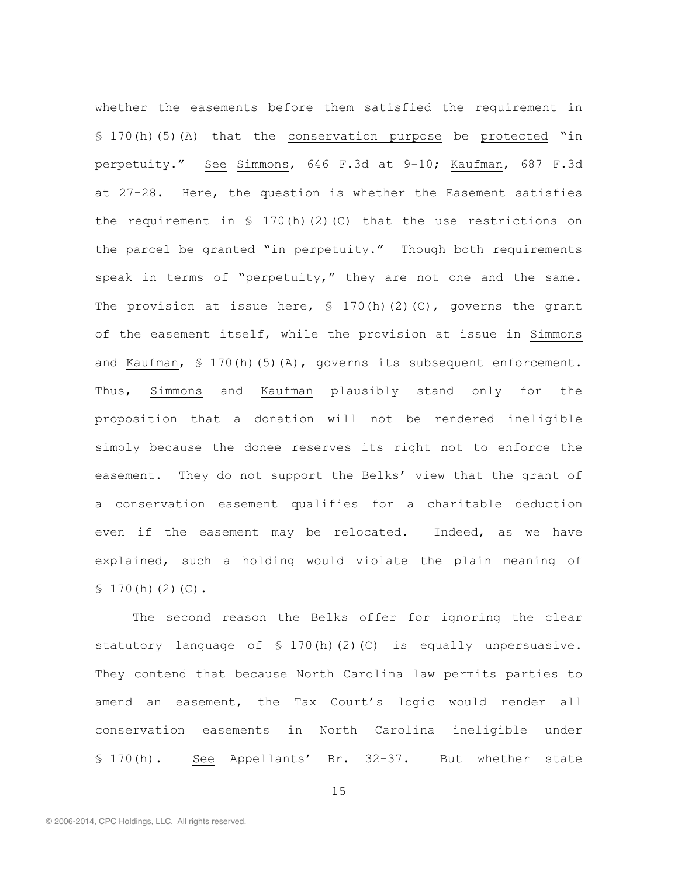whether the easements before them satisfied the requirement in § 170(h)(5)(A) that the conservation purpose be protected "in perpetuity." See Simmons, 646 F.3d at 9-10; Kaufman, 687 F.3d at 27-28. Here, the question is whether the Easement satisfies the requirement in  $\frac{170(h)(2)(C)}{2h}$  that the use restrictions on the parcel be granted "in perpetuity." Though both requirements speak in terms of "perpetuity," they are not one and the same. The provision at issue here,  $\frac{170(h)(2)(C)}{2}$ , governs the grant of the easement itself, while the provision at issue in Simmons and Kaufman, § 170(h)(5)(A), governs its subsequent enforcement. Thus, Simmons and Kaufman plausibly stand only for the proposition that a donation will not be rendered ineligible simply because the donee reserves its right not to enforce the easement. They do not support the Belks' view that the grant of a conservation easement qualifies for a charitable deduction even if the easement may be relocated. Indeed, as we have explained, such a holding would violate the plain meaning of  $$170(h)(2)(C).$ 

The second reason the Belks offer for ignoring the clear statutory language of  $\frac{1}{2}$  170(h)(2)(C) is equally unpersuasive. They contend that because North Carolina law permits parties to amend an easement, the Tax Court's logic would render all conservation easements in North Carolina ineligible under § 170(h). See Appellants' Br. 32-37. But whether state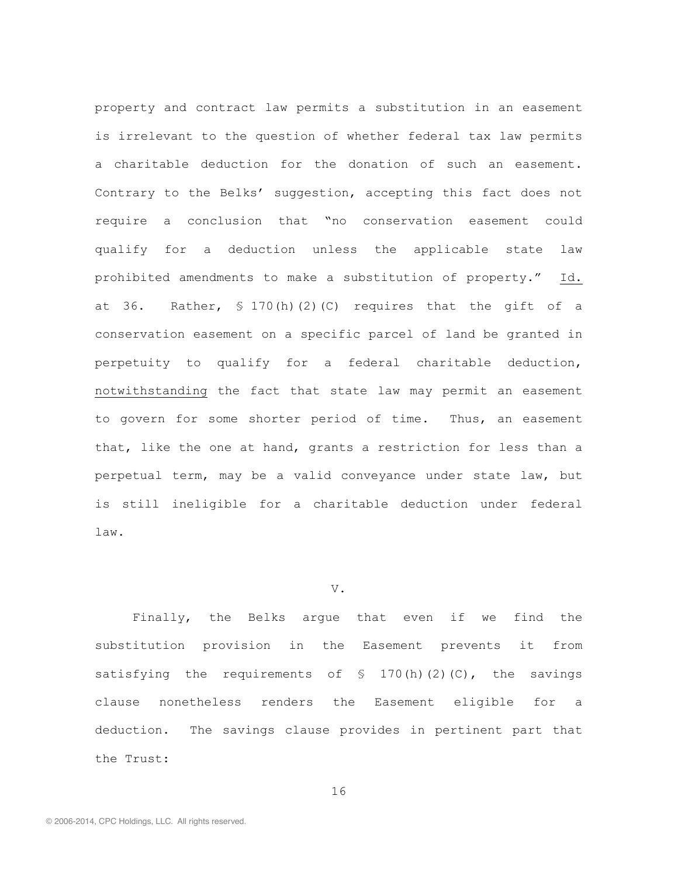property and contract law permits a substitution in an easement is irrelevant to the question of whether federal tax law permits a charitable deduction for the donation of such an easement. Contrary to the Belks' suggestion, accepting this fact does not require a conclusion that "no conservation easement could qualify for a deduction unless the applicable state law prohibited amendments to make a substitution of property." Id. at 36. Rather, § 170(h)(2)(C) requires that the gift of a conservation easement on a specific parcel of land be granted in perpetuity to qualify for a federal charitable deduction, notwithstanding the fact that state law may permit an easement to govern for some shorter period of time. Thus, an easement that, like the one at hand, grants a restriction for less than a perpetual term, may be a valid conveyance under state law, but is still ineligible for a charitable deduction under federal law.

## V.

Finally, the Belks argue that even if we find the substitution provision in the Easement prevents it from satisfying the requirements of  $\frac{170(h)(2)(C)}{h}$ , the savings clause nonetheless renders the Easement eligible for a deduction. The savings clause provides in pertinent part that the Trust: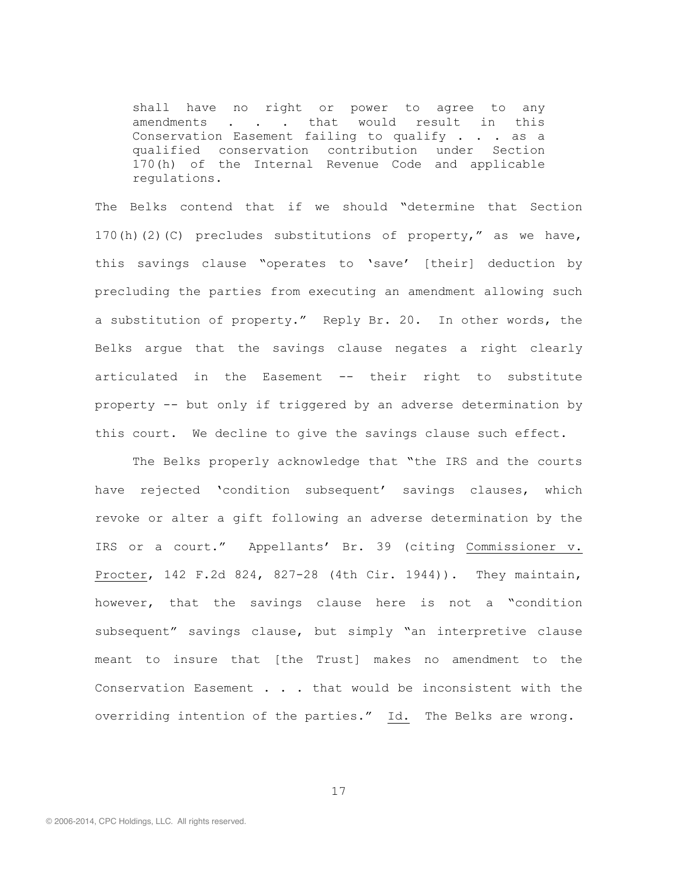shall have no right or power to agree to any amendments . . . that would result in this Conservation Easement failing to qualify . . . as a qualified conservation contribution under Section 170(h) of the Internal Revenue Code and applicable regulations.

The Belks contend that if we should "determine that Section 170(h)(2)(C) precludes substitutions of property," as we have, this savings clause "operates to 'save' [their] deduction by precluding the parties from executing an amendment allowing such a substitution of property." Reply Br. 20. In other words, the Belks argue that the savings clause negates a right clearly articulated in the Easement -- their right to substitute property -- but only if triggered by an adverse determination by this court. We decline to give the savings clause such effect.

The Belks properly acknowledge that "the IRS and the courts have rejected 'condition subsequent' savings clauses, which revoke or alter a gift following an adverse determination by the IRS or a court." Appellants' Br. 39 (citing Commissioner v. Procter, 142 F.2d 824, 827-28 (4th Cir. 1944)). They maintain, however, that the savings clause here is not a "condition subsequent" savings clause, but simply "an interpretive clause meant to insure that [the Trust] makes no amendment to the Conservation Easement . . . that would be inconsistent with the overriding intention of the parties." Id. The Belks are wrong.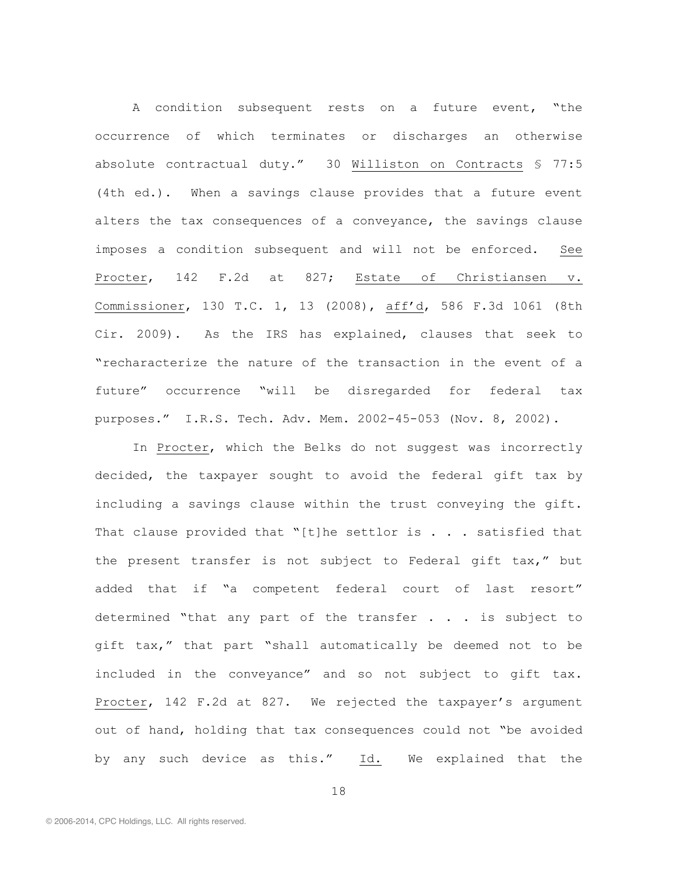A condition subsequent rests on a future event, "the occurrence of which terminates or discharges an otherwise absolute contractual duty." 30 Williston on Contracts § 77:5 (4th ed.). When a savings clause provides that a future event alters the tax consequences of a conveyance, the savings clause imposes a condition subsequent and will not be enforced. See Procter, 142 F.2d at 827; Estate of Christiansen v. Commissioner, 130 T.C. 1, 13 (2008), aff'd, 586 F.3d 1061 (8th Cir. 2009). As the IRS has explained, clauses that seek to "recharacterize the nature of the transaction in the event of a future" occurrence "will be disregarded for federal tax purposes." I.R.S. Tech. Adv. Mem. 2002-45-053 (Nov. 8, 2002).

In Procter, which the Belks do not suggest was incorrectly decided, the taxpayer sought to avoid the federal gift tax by including a savings clause within the trust conveying the gift. That clause provided that "[t]he settlor is  $\ldots$  satisfied that the present transfer is not subject to Federal gift tax," but added that if "a competent federal court of last resort" determined "that any part of the transfer . . . is subject to gift tax," that part "shall automatically be deemed not to be included in the conveyance" and so not subject to gift tax. Procter, 142 F.2d at 827. We rejected the taxpayer's argument out of hand, holding that tax consequences could not "be avoided by any such device as this." Id. We explained that the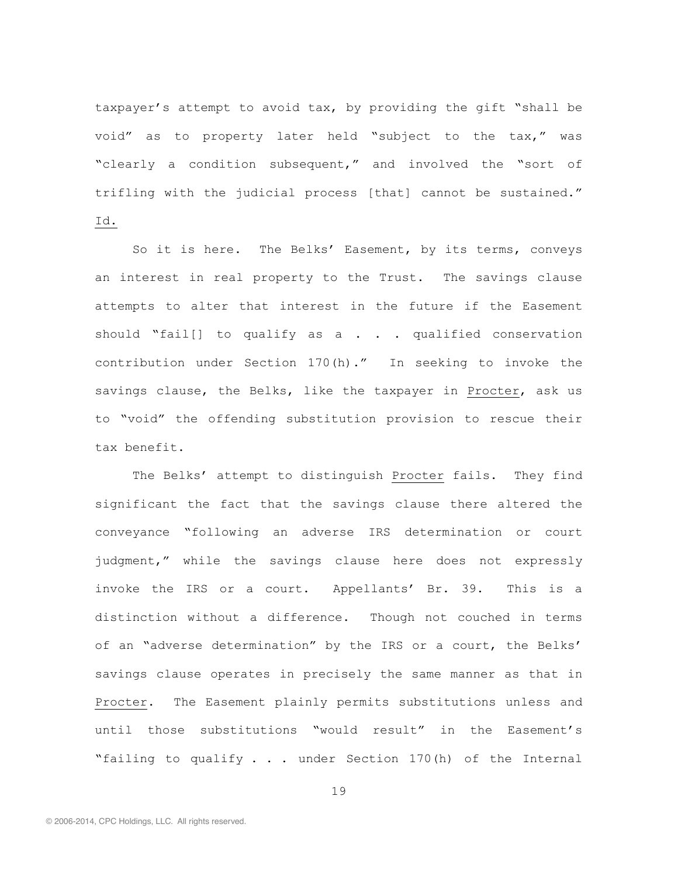taxpayer's attempt to avoid tax, by providing the gift "shall be void" as to property later held "subject to the tax," was "clearly a condition subsequent," and involved the "sort of trifling with the judicial process [that] cannot be sustained." Id.

So it is here. The Belks' Easement, by its terms, conveys an interest in real property to the Trust. The savings clause attempts to alter that interest in the future if the Easement should "fail[] to qualify as  $a \cdot a$ . . qualified conservation contribution under Section 170(h)." In seeking to invoke the savings clause, the Belks, like the taxpayer in Procter, ask us to "void" the offending substitution provision to rescue their tax benefit.

The Belks' attempt to distinguish Procter fails. They find significant the fact that the savings clause there altered the conveyance "following an adverse IRS determination or court judgment," while the savings clause here does not expressly invoke the IRS or a court. Appellants' Br. 39. This is a distinction without a difference. Though not couched in terms of an "adverse determination" by the IRS or a court, the Belks' savings clause operates in precisely the same manner as that in Procter. The Easement plainly permits substitutions unless and until those substitutions "would result" in the Easement's "failing to qualify . . . under Section 170(h) of the Internal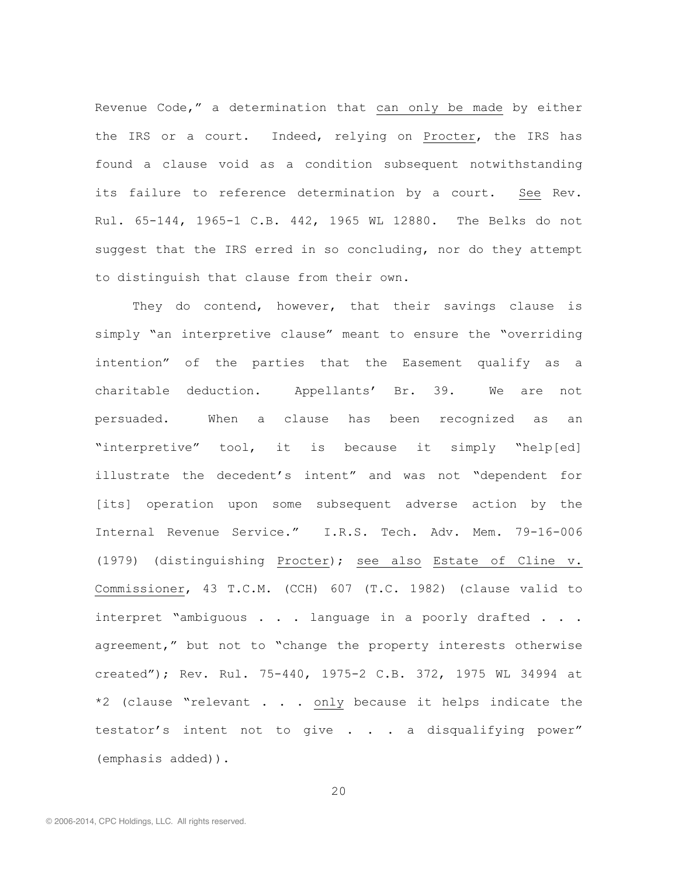Revenue Code," a determination that can only be made by either the IRS or a court. Indeed, relying on Procter, the IRS has found a clause void as a condition subsequent notwithstanding its failure to reference determination by a court. See Rev. Rul. 65-144, 1965-1 C.B. 442, 1965 WL 12880. The Belks do not suggest that the IRS erred in so concluding, nor do they attempt to distinguish that clause from their own.

They do contend, however, that their savings clause is simply "an interpretive clause" meant to ensure the "overriding intention" of the parties that the Easement qualify as a charitable deduction. Appellants' Br. 39. We are not persuaded. When a clause has been recognized as an "interpretive" tool, it is because it simply "help[ed] illustrate the decedent's intent" and was not "dependent for [its] operation upon some subsequent adverse action by the Internal Revenue Service." I.R.S. Tech. Adv. Mem. 79-16-006 (1979) (distinguishing Procter); see also Estate of Cline v. Commissioner, 43 T.C.M. (CCH) 607 (T.C. 1982) (clause valid to interpret "ambiguous . . . language in a poorly drafted . . . agreement," but not to "change the property interests otherwise created"); Rev. Rul. 75-440, 1975-2 C.B. 372, 1975 WL 34994 at \*2 (clause "relevant . . . only because it helps indicate the testator's intent not to give . . . a disqualifying power" (emphasis added)).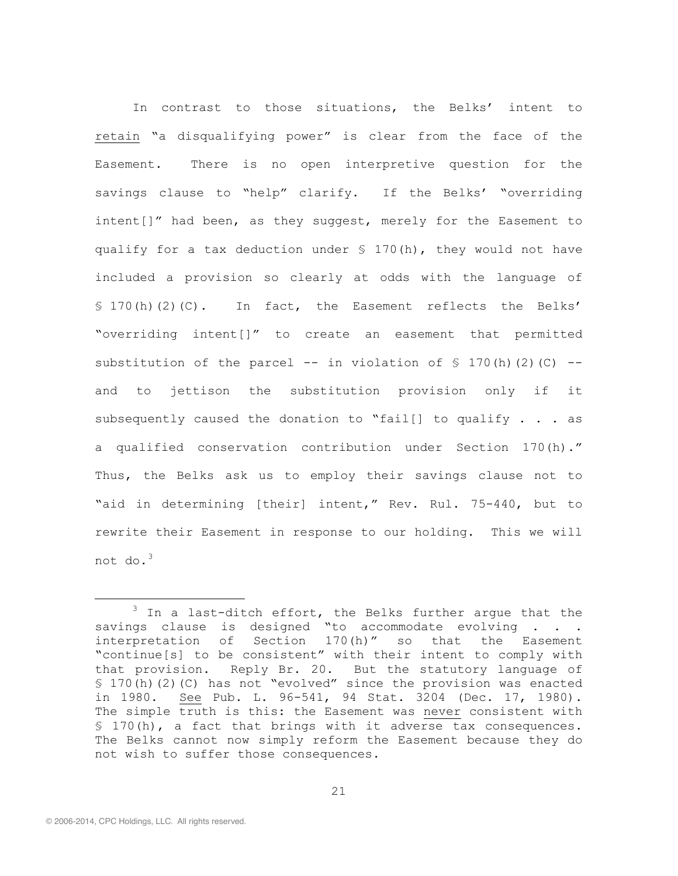In contrast to those situations, the Belks' intent to retain "a disqualifying power" is clear from the face of the Easement. There is no open interpretive question for the savings clause to "help" clarify. If the Belks' "overriding intent[]" had been, as they suggest, merely for the Easement to qualify for a tax deduction under § 170(h), they would not have included a provision so clearly at odds with the language of § 170(h)(2)(C). In fact, the Easement reflects the Belks' "overriding intent[]" to create an easement that permitted substitution of the parcel  $--$  in violation of § 170(h)(2)(C)  $-$ and to jettison the substitution provision only if it subsequently caused the donation to "fail[] to qualify . . . as a qualified conservation contribution under Section 170(h)." Thus, the Belks ask us to employ their savings clause not to "aid in determining [their] intent," Rev. Rul. 75-440, but to rewrite their Easement in response to our holding. This we will not do.<sup>3</sup>

<sup>&</sup>lt;sup>3</sup> In a last-ditch effort, the Belks further argue that the savings clause is designed "to accommodate evolving . . . interpretation of Section 170(h)" so that the Easement "continue[s] to be consistent" with their intent to comply with that provision. Reply Br. 20. But the statutory language of § 170(h)(2)(C) has not "evolved" since the provision was enacted in 1980. See Pub. L. 96-541, 94 Stat. 3204 (Dec. 17, 1980). The simple truth is this: the Easement was never consistent with § 170(h), a fact that brings with it adverse tax consequences. The Belks cannot now simply reform the Easement because they do not wish to suffer those consequences.